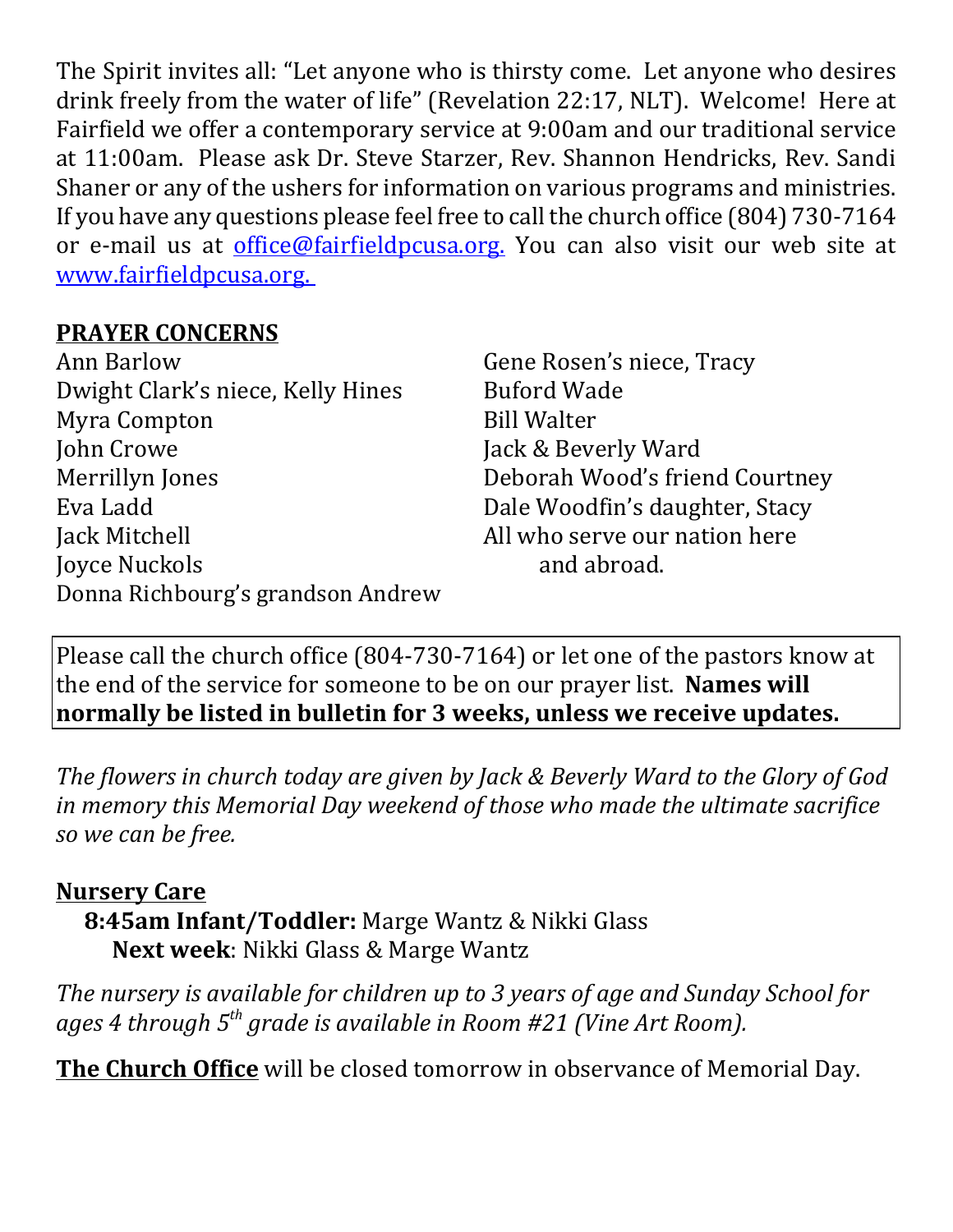The Spirit invites all: "Let anyone who is thirsty come. Let anyone who desires drink freely from the water of life" (Revelation 22:17, NLT). Welcome! Here at Fairfield we offer a contemporary service at 9:00am and our traditional service at 11:00am. Please ask Dr. Steve Starzer, Rev. Shannon Hendricks, Rev. Sandi Shaner or any of the ushers for information on various programs and ministries. If you have any questions please feel free to call the church office (804) 730-7164 or e-mail us at *office@fairfieldpcusa.org*. You can also visit our web site at www.fairfieldpcusa.org.

## **PRAYER CONCERNS**

Ann Barlow Dwight Clark's niece, Kelly Hines Myra Compton John Crowe Merrillyn Jones Eva Ladd Jack Mitchell Joyce Nuckols Donna Richbourg's grandson Andrew Gene Rosen's niece, Tracy Buford Wade Bill Walter Jack & Beverly Ward Deborah Wood's friend Courtney Dale Woodfin's daughter, Stacy All who serve our nation here and abroad.

Please call the church office (804-730-7164) or let one of the pastors know at the end of the service for someone to be on our prayer list. **Names will normally be listed in bulletin for 3 weeks, unless we receive updates.**

*The flowers in church today are given by Jack & Beverly Ward to the Glory of God in memory this Memorial Day weekend of those who made the ultimate sacrifice so we can be free.*

## **Nursery Care**

**8:45am Infant/Toddler:** Marge Wantz & Nikki Glass **Next week**: Nikki Glass & Marge Wantz

*The nursery is available for children up to 3 years of age and Sunday School for ages 4 through 5th grade is available in Room #21 (Vine Art Room).*

**The Church Office** will be closed tomorrow in observance of Memorial Day.